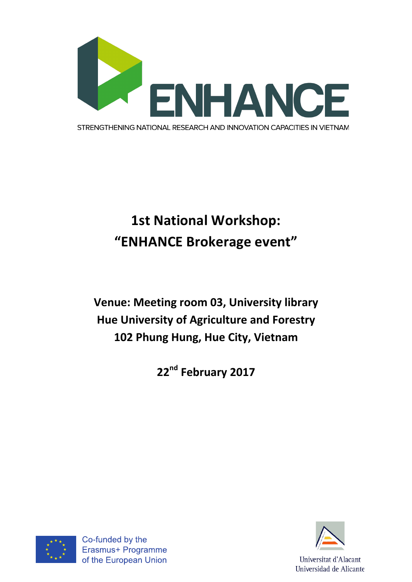

## **1st National Workshop: "ENHANCE Brokerage event"**

**Venue: Meeting room 03, University library Hue University of Agriculture and Forestry** 102 Phung Hung, Hue City, Vietnam

**22nd February 2017**



Co-funded by the Erasmus+ Programme of the European Union

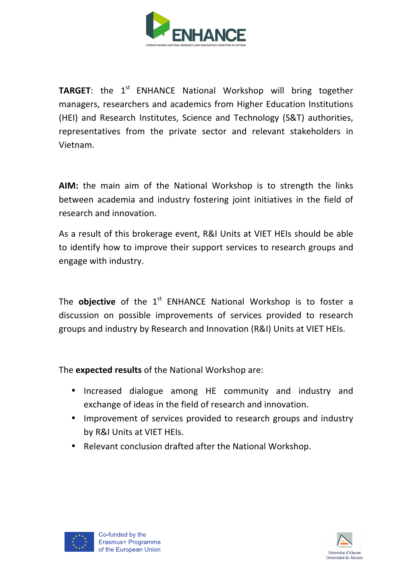

**TARGET:** the 1<sup>st</sup> ENHANCE National Workshop will bring together managers, researchers and academics from Higher Education Institutions (HEI) and Research Institutes, Science and Technology (S&T) authorities, representatives from the private sector and relevant stakeholders in Vietnam. 

**AIM:** the main aim of the National Workshop is to strength the links between academia and industry fostering joint initiatives in the field of research and innovation.

As a result of this brokerage event, R&I Units at VIET HEIs should be able to identify how to improve their support services to research groups and engage with industry.

The **objective** of the 1<sup>st</sup> ENHANCE National Workshop is to foster a discussion on possible improvements of services provided to research groups and industry by Research and Innovation (R&I) Units at VIET HEIs.

The **expected results** of the National Workshop are:

- Increased dialogue among HE community and industry and exchange of ideas in the field of research and innovation.
- Improvement of services provided to research groups and industry by R&I Units at VIET HEIs.
- Relevant conclusion drafted after the National Workshop.